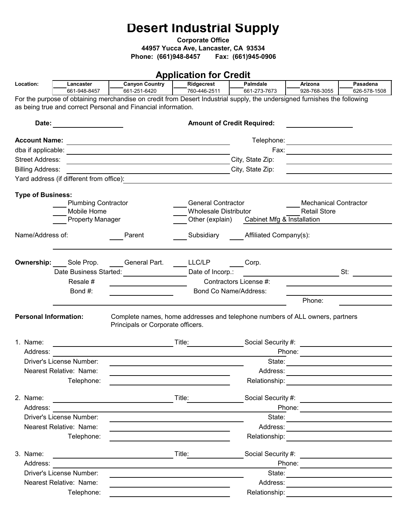# **Desert Industrial Supply**

**Corporate Office**

**44957 Yucca Ave, Lancaster, CA 93534** 

**Phone: (661)948-8457 Fax: (661)945-0906**

## **Application for Credit**

|                              |                                        |                                                                                                                                                                                                                                | <b>TPPRODUCTION</b>                                  |                                            |                                                                                                                                                                                                                                |                          |  |  |
|------------------------------|----------------------------------------|--------------------------------------------------------------------------------------------------------------------------------------------------------------------------------------------------------------------------------|------------------------------------------------------|--------------------------------------------|--------------------------------------------------------------------------------------------------------------------------------------------------------------------------------------------------------------------------------|--------------------------|--|--|
| Location:                    | Lancaster<br>661-948-8457              | <b>Canyon Country</b><br>661-251-6420                                                                                                                                                                                          | Ridgecrest<br>760-446-2511                           | Palmdale<br>661-273-7673                   | Arizona<br>928-768-3055                                                                                                                                                                                                        | Pasadena<br>626-578-1508 |  |  |
|                              |                                        | For the purpose of obtaining merchandise on credit from Desert Industrial supply, the undersigned furnishes the following                                                                                                      |                                                      |                                            |                                                                                                                                                                                                                                |                          |  |  |
|                              |                                        | as being true and correct Personal and Financial information.                                                                                                                                                                  |                                                      |                                            |                                                                                                                                                                                                                                |                          |  |  |
|                              |                                        |                                                                                                                                                                                                                                |                                                      |                                            |                                                                                                                                                                                                                                |                          |  |  |
| Date:                        |                                        |                                                                                                                                                                                                                                |                                                      | <b>Amount of Credit Required:</b>          |                                                                                                                                                                                                                                |                          |  |  |
|                              |                                        |                                                                                                                                                                                                                                |                                                      |                                            |                                                                                                                                                                                                                                |                          |  |  |
|                              |                                        | Account Name: Later and the contract of the contract of the contract of the contract of the contract of the contract of the contract of the contract of the contract of the contract of the contract of the contract of the co |                                                      |                                            |                                                                                                                                                                                                                                |                          |  |  |
| <b>Street Address:</b>       |                                        |                                                                                                                                                                                                                                |                                                      | City, State Zip:                           |                                                                                                                                                                                                                                |                          |  |  |
| <b>Billing Address:</b>      |                                        | <u> 1989 - Johann Barn, fransk politik fotograf (d. 1989)</u>                                                                                                                                                                  |                                                      | City, State Zip:                           | <u> 1980 - Andrea Andrew Maria (h. 1980).</u>                                                                                                                                                                                  |                          |  |  |
|                              |                                        |                                                                                                                                                                                                                                | <u> 1989 - Johann Barn, fransk politik (d. 1989)</u> |                                            | <u> 1980 - Andrea Andrew Maria (b. 1980)</u>                                                                                                                                                                                   |                          |  |  |
|                              |                                        |                                                                                                                                                                                                                                |                                                      |                                            |                                                                                                                                                                                                                                |                          |  |  |
| <b>Type of Business:</b>     |                                        |                                                                                                                                                                                                                                |                                                      |                                            |                                                                                                                                                                                                                                |                          |  |  |
|                              | <b>Plumbing Contractor</b>             |                                                                                                                                                                                                                                | <b>General Contractor</b>                            |                                            | <b>Mechanical Contractor</b>                                                                                                                                                                                                   |                          |  |  |
|                              | Mobile Home<br><b>Property Manager</b> |                                                                                                                                                                                                                                | <b>Wholesale Distributor</b>                         | Other (explain) Cabinet Mfg & Installation | <b>Retail Store</b>                                                                                                                                                                                                            |                          |  |  |
|                              |                                        |                                                                                                                                                                                                                                |                                                      |                                            |                                                                                                                                                                                                                                |                          |  |  |
| Name/Address of:             |                                        | Parent                                                                                                                                                                                                                         |                                                      | Subsidiary Affiliated Company(s):          |                                                                                                                                                                                                                                |                          |  |  |
|                              |                                        |                                                                                                                                                                                                                                |                                                      |                                            |                                                                                                                                                                                                                                |                          |  |  |
|                              |                                        |                                                                                                                                                                                                                                |                                                      |                                            |                                                                                                                                                                                                                                |                          |  |  |
|                              | <b>Ownership:</b> Sole Prop.           | General Part.<br>Date Business Started: <b>Date Business Started:</b>                                                                                                                                                          | LLC/LP<br>1<br>Date of Incorp.:                      | Corp.                                      |                                                                                                                                                                                                                                | St:                      |  |  |
|                              | Resale #                               |                                                                                                                                                                                                                                |                                                      | Contractors License #:                     |                                                                                                                                                                                                                                |                          |  |  |
|                              | Bond #:                                |                                                                                                                                                                                                                                |                                                      | Bond Co Name/Address:                      |                                                                                                                                                                                                                                |                          |  |  |
|                              |                                        |                                                                                                                                                                                                                                |                                                      |                                            | Phone:                                                                                                                                                                                                                         |                          |  |  |
|                              |                                        |                                                                                                                                                                                                                                |                                                      |                                            |                                                                                                                                                                                                                                |                          |  |  |
| <b>Personal Information:</b> |                                        | Complete names, home addresses and telephone numbers of ALL owners, partners                                                                                                                                                   |                                                      |                                            |                                                                                                                                                                                                                                |                          |  |  |
|                              |                                        | Principals or Corporate officers.                                                                                                                                                                                              |                                                      |                                            |                                                                                                                                                                                                                                |                          |  |  |
| 1. Name:                     |                                        |                                                                                                                                                                                                                                |                                                      |                                            |                                                                                                                                                                                                                                |                          |  |  |
| Address:                     |                                        | <u> 1989 - Johann Barbara, martxa a</u>                                                                                                                                                                                        |                                                      | Title: Social Security #:                  |                                                                                                                                                                                                                                |                          |  |  |
|                              | Driver's License Number:               |                                                                                                                                                                                                                                |                                                      | State:                                     | Phone:                                                                                                                                                                                                                         |                          |  |  |
|                              | Nearest Relative: Name:                |                                                                                                                                                                                                                                |                                                      | Address:                                   |                                                                                                                                                                                                                                |                          |  |  |
|                              | Telephone:                             |                                                                                                                                                                                                                                |                                                      | Relationship:                              |                                                                                                                                                                                                                                |                          |  |  |
|                              |                                        |                                                                                                                                                                                                                                |                                                      |                                            |                                                                                                                                                                                                                                |                          |  |  |
| 2. Name:                     |                                        | <u> 1989 - Johann Harry Barn, mars ar breist fan de Fryske kommunent fan de Fryske kommunent fan de Fryske kommun</u>                                                                                                          | Title: $\qquad \qquad \qquad$                        |                                            |                                                                                                                                                                                                                                |                          |  |  |
| Address:                     |                                        |                                                                                                                                                                                                                                |                                                      |                                            |                                                                                                                                                                                                                                |                          |  |  |
|                              | Driver's License Number:               |                                                                                                                                                                                                                                |                                                      |                                            |                                                                                                                                                                                                                                |                          |  |  |
|                              | Nearest Relative: Name:                |                                                                                                                                                                                                                                |                                                      |                                            |                                                                                                                                                                                                                                |                          |  |  |
|                              | Telephone:                             |                                                                                                                                                                                                                                |                                                      |                                            | Relationship: The Contract of The Contract of The Contract of The Contract of The Contract of The Contract of T                                                                                                                |                          |  |  |
|                              |                                        |                                                                                                                                                                                                                                |                                                      |                                            |                                                                                                                                                                                                                                |                          |  |  |
| 3. Name:                     |                                        | <u> 1980 - Johann Barbara, martin amerikan basal da</u>                                                                                                                                                                        | Title:                                               |                                            | Social Security #: \\connect \\connect \\connect \\connect \\connect \\connect \\connect \\connect \\connect \\connect \\connect \\connect \\connect \\connect \\connect \\connect \\connect \\connect \\connect \\connect \\c |                          |  |  |
| Address:                     |                                        |                                                                                                                                                                                                                                |                                                      |                                            |                                                                                                                                                                                                                                |                          |  |  |
|                              | Driver's License Number:               |                                                                                                                                                                                                                                |                                                      |                                            |                                                                                                                                                                                                                                |                          |  |  |
|                              | Nearest Relative: Name:                |                                                                                                                                                                                                                                |                                                      | Address:                                   |                                                                                                                                                                                                                                |                          |  |  |
|                              | Telephone:                             |                                                                                                                                                                                                                                |                                                      |                                            | Relationship: _________________________                                                                                                                                                                                        |                          |  |  |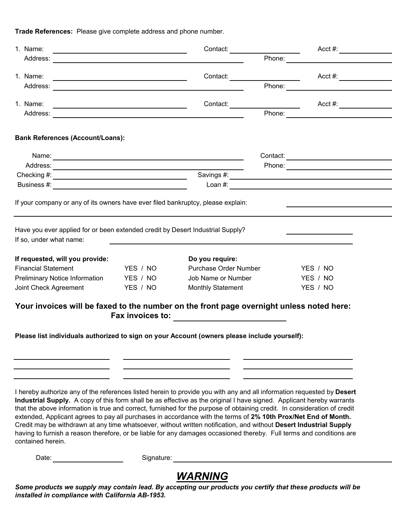**Trade References:** Please give complete address and phone number.

| Phone:<br>1. Name:<br>Contact:<br>Phone:<br>1. Name:<br><u> 1989 - Johann Barn, mars ann an t-Amhain Aonaich an t-Aonaich an t-Aonaich ann an t-Aonaich ann an t-Aonaich</u><br><b>Bank References (Account/Loans):</b><br>If your company or any of its owners have ever filed bankruptcy, please explain:<br>Have you ever applied for or been extended credit by Desert Industrial Supply?<br>If so, under what name:<br>If requested, will you provide:<br>Do you require:<br>YES / NO<br>Purchase Order Number<br><b>Financial Statement</b><br>YES / NO<br>Preliminary Notice Information YES / NO<br>Job Name or Number<br>YES / NO<br>Joint Check Agreement<br>Monthly Statement<br>YES / NO<br>YES / NO<br>Your invoices will be faxed to the number on the front page overnight unless noted here: | 1. Name: |  | Contact: |  |  |  |  |
|--------------------------------------------------------------------------------------------------------------------------------------------------------------------------------------------------------------------------------------------------------------------------------------------------------------------------------------------------------------------------------------------------------------------------------------------------------------------------------------------------------------------------------------------------------------------------------------------------------------------------------------------------------------------------------------------------------------------------------------------------------------------------------------------------------------|----------|--|----------|--|--|--|--|
|                                                                                                                                                                                                                                                                                                                                                                                                                                                                                                                                                                                                                                                                                                                                                                                                              |          |  |          |  |  |  |  |
|                                                                                                                                                                                                                                                                                                                                                                                                                                                                                                                                                                                                                                                                                                                                                                                                              |          |  |          |  |  |  |  |
|                                                                                                                                                                                                                                                                                                                                                                                                                                                                                                                                                                                                                                                                                                                                                                                                              |          |  |          |  |  |  |  |
|                                                                                                                                                                                                                                                                                                                                                                                                                                                                                                                                                                                                                                                                                                                                                                                                              |          |  |          |  |  |  |  |
|                                                                                                                                                                                                                                                                                                                                                                                                                                                                                                                                                                                                                                                                                                                                                                                                              |          |  |          |  |  |  |  |
|                                                                                                                                                                                                                                                                                                                                                                                                                                                                                                                                                                                                                                                                                                                                                                                                              |          |  |          |  |  |  |  |
|                                                                                                                                                                                                                                                                                                                                                                                                                                                                                                                                                                                                                                                                                                                                                                                                              |          |  |          |  |  |  |  |
|                                                                                                                                                                                                                                                                                                                                                                                                                                                                                                                                                                                                                                                                                                                                                                                                              |          |  |          |  |  |  |  |
|                                                                                                                                                                                                                                                                                                                                                                                                                                                                                                                                                                                                                                                                                                                                                                                                              |          |  |          |  |  |  |  |
|                                                                                                                                                                                                                                                                                                                                                                                                                                                                                                                                                                                                                                                                                                                                                                                                              |          |  |          |  |  |  |  |
|                                                                                                                                                                                                                                                                                                                                                                                                                                                                                                                                                                                                                                                                                                                                                                                                              |          |  |          |  |  |  |  |
|                                                                                                                                                                                                                                                                                                                                                                                                                                                                                                                                                                                                                                                                                                                                                                                                              |          |  |          |  |  |  |  |
|                                                                                                                                                                                                                                                                                                                                                                                                                                                                                                                                                                                                                                                                                                                                                                                                              |          |  |          |  |  |  |  |
|                                                                                                                                                                                                                                                                                                                                                                                                                                                                                                                                                                                                                                                                                                                                                                                                              |          |  |          |  |  |  |  |
|                                                                                                                                                                                                                                                                                                                                                                                                                                                                                                                                                                                                                                                                                                                                                                                                              |          |  |          |  |  |  |  |
|                                                                                                                                                                                                                                                                                                                                                                                                                                                                                                                                                                                                                                                                                                                                                                                                              |          |  |          |  |  |  |  |
|                                                                                                                                                                                                                                                                                                                                                                                                                                                                                                                                                                                                                                                                                                                                                                                                              |          |  |          |  |  |  |  |
| Please list individuals authorized to sign on your Account (owners please include yourself):                                                                                                                                                                                                                                                                                                                                                                                                                                                                                                                                                                                                                                                                                                                 |          |  |          |  |  |  |  |
|                                                                                                                                                                                                                                                                                                                                                                                                                                                                                                                                                                                                                                                                                                                                                                                                              |          |  |          |  |  |  |  |
|                                                                                                                                                                                                                                                                                                                                                                                                                                                                                                                                                                                                                                                                                                                                                                                                              |          |  |          |  |  |  |  |

I hereby authorize any of the references listed herein to provide you with any and all information requested by **Desert Industrial Supply.** A copy of this form shall be as effective as the original I have signed. Applicant hereby warrants that the above information is true and correct, furnished for the purpose of obtaining credit. In consideration of credit extended, Applicant agrees to pay all purchases in accordance with the terms of **2% 10th Prox/Net End of Month.**  Credit may be withdrawn at any time whatsoever, without written notification, and without **Desert Industrial Supply**  having to furnish a reason therefore, or be liable for any damages occasioned thereby. Full terms and conditions are contained herein.

Date: Signature: Signature: Signature: Signature: Signature: Signature: Signature: Signature: Signature: Signature: Signature: Signature: Signature: Signature: Signature: Signature: Signature: Signature: Signature: Signatu

## *WARNING*

*Some products we supply may contain lead. By accepting our products you certify that these products will be installed in compliance with California AB-1953.*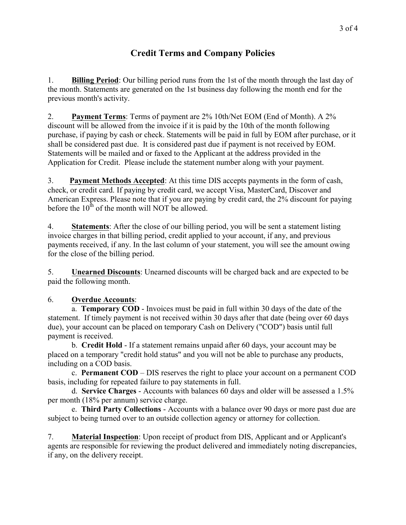### **Credit Terms and Company Policies**

1. **Billing Period**: Our billing period runs from the 1st of the month through the last day of the month. Statements are generated on the 1st business day following the month end for the previous month's activity.

2. **Payment Terms**: Terms of payment are 2% 10th/Net EOM (End of Month). A 2% discount will be allowed from the invoice if it is paid by the 10th of the month following purchase, if paying by cash or check. Statements will be paid in full by EOM after purchase, or it shall be considered past due. It is considered past due if payment is not received by EOM. Statements will be mailed and or faxed to the Applicant at the address provided in the Application for Credit. Please include the statement number along with your payment.

3. **Payment Methods Accepted**: At this time DIS accepts payments in the form of cash, check, or credit card. If paying by credit card, we accept Visa, MasterCard, Discover and American Express. Please note that if you are paying by credit card, the 2% discount for paying before the  $10<sup>th</sup>$  of the month will NOT be allowed.

4. **Statements**: After the close of our billing period, you will be sent a statement listing invoice charges in that billing period, credit applied to your account, if any, and previous payments received, if any. In the last column of your statement, you will see the amount owing for the close of the billing period.

5. **Unearned Discounts**: Unearned discounts will be charged back and are expected to be paid the following month.

#### 6. **Overdue Accounts**:

a. **Temporary COD** - Invoices must be paid in full within 30 days of the date of the statement. If timely payment is not received within 30 days after that date (being over 60 days due), your account can be placed on temporary Cash on Delivery ("COD") basis until full payment is received.

b. **Credit Hold** - If a statement remains unpaid after 60 days, your account may be placed on a temporary "credit hold status" and you will not be able to purchase any products, including on a COD basis.

c. **Permanent COD** – DIS reserves the right to place your account on a permanent COD basis, including for repeated failure to pay statements in full.

d. **Service Charges** - Accounts with balances 60 days and older will be assessed a 1.5% per month (18% per annum) service charge.

e. **Third Party Collections** - Accounts with a balance over 90 days or more past due are subject to being turned over to an outside collection agency or attorney for collection.

7. **Material Inspection**: Upon receipt of product from DIS, Applicant and or Applicant's agents are responsible for reviewing the product delivered and immediately noting discrepancies, if any, on the delivery receipt.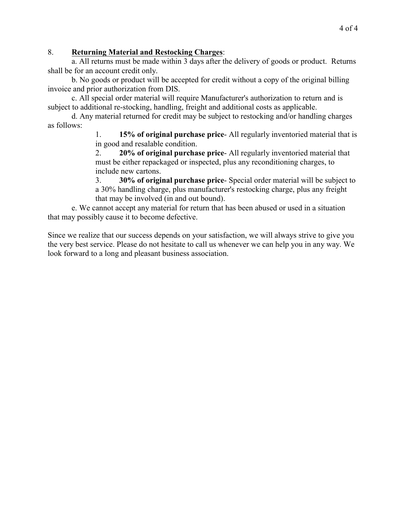#### 8. **Returning Material and Restocking Charges**:

a. All returns must be made within 3 days after the delivery of goods or product. Returns shall be for an account credit only.

b. No goods or product will be accepted for credit without a copy of the original billing invoice and prior authorization from DIS.

c. All special order material will require Manufacturer's authorization to return and is subject to additional re-stocking, handling, freight and additional costs as applicable.

d. Any material returned for credit may be subject to restocking and/or handling charges as follows:

1. **15% of original purchase price**- All regularly inventoried material that is in good and resalable condition.

2. **20% of original purchase price**- All regularly inventoried material that must be either repackaged or inspected, plus any reconditioning charges, to include new cartons.

3. **30% of original purchase price**- Special order material will be subject to a 30% handling charge, plus manufacturer's restocking charge, plus any freight that may be involved (in and out bound).

e. We cannot accept any material for return that has been abused or used in a situation that may possibly cause it to become defective.

Since we realize that our success depends on your satisfaction, we will always strive to give you the very best service. Please do not hesitate to call us whenever we can help you in any way. We look forward to a long and pleasant business association.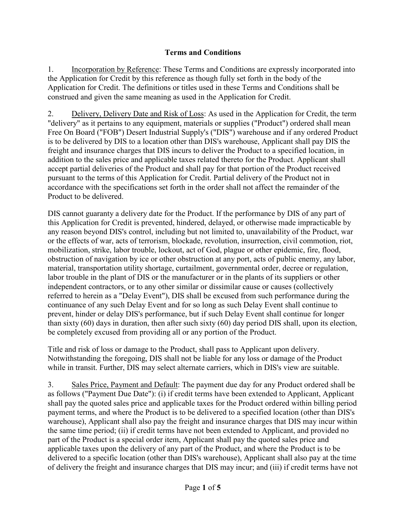#### **Terms and Conditions**

1. Incorporation by Reference: These Terms and Conditions are expressly incorporated into the Application for Credit by this reference as though fully set forth in the body of the Application for Credit. The definitions or titles used in these Terms and Conditions shall be construed and given the same meaning as used in the Application for Credit.

2. Delivery, Delivery Date and Risk of Loss: As used in the Application for Credit, the term "delivery" as it pertains to any equipment, materials or supplies ("Product") ordered shall mean Free On Board ("FOB") Desert Industrial Supply's ("DIS") warehouse and if any ordered Product is to be delivered by DIS to a location other than DIS's warehouse, Applicant shall pay DIS the freight and insurance charges that DIS incurs to deliver the Product to a specified location, in addition to the sales price and applicable taxes related thereto for the Product. Applicant shall accept partial deliveries of the Product and shall pay for that portion of the Product received pursuant to the terms of this Application for Credit. Partial delivery of the Product not in accordance with the specifications set forth in the order shall not affect the remainder of the Product to be delivered.

DIS cannot guaranty a delivery date for the Product. If the performance by DIS of any part of this Application for Credit is prevented, hindered, delayed, or otherwise made impracticable by any reason beyond DIS's control, including but not limited to, unavailability of the Product, war or the effects of war, acts of terrorism, blockade, revolution, insurrection, civil commotion, riot, mobilization, strike, labor trouble, lockout, act of God, plague or other epidemic, fire, flood, obstruction of navigation by ice or other obstruction at any port, acts of public enemy, any labor, material, transportation utility shortage, curtailment, governmental order, decree or regulation, labor trouble in the plant of DIS or the manufacturer or in the plants of its suppliers or other independent contractors, or to any other similar or dissimilar cause or causes (collectively referred to herein as a "Delay Event"), DIS shall be excused from such performance during the continuance of any such Delay Event and for so long as such Delay Event shall continue to prevent, hinder or delay DIS's performance, but if such Delay Event shall continue for longer than sixty (60) days in duration, then after such sixty (60) day period DIS shall, upon its election, be completely excused from providing all or any portion of the Product.

Title and risk of loss or damage to the Product, shall pass to Applicant upon delivery. Notwithstanding the foregoing, DIS shall not be liable for any loss or damage of the Product while in transit. Further, DIS may select alternate carriers, which in DIS's view are suitable.

3. Sales Price, Payment and Default: The payment due day for any Product ordered shall be as follows ("Payment Due Date"): (i) if credit terms have been extended to Applicant, Applicant shall pay the quoted sales price and applicable taxes for the Product ordered within billing period payment terms, and where the Product is to be delivered to a specified location (other than DIS's warehouse), Applicant shall also pay the freight and insurance charges that DIS may incur within the same time period; (ii) if credit terms have not been extended to Applicant, and provided no part of the Product is a special order item, Applicant shall pay the quoted sales price and applicable taxes upon the delivery of any part of the Product, and where the Product is to be delivered to a specific location (other than DIS's warehouse), Applicant shall also pay at the time of delivery the freight and insurance charges that DIS may incur; and (iii) if credit terms have not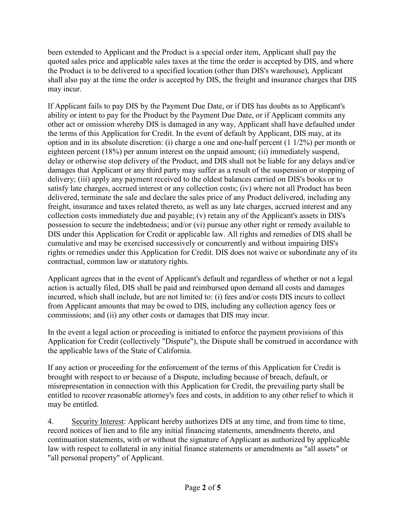been extended to Applicant and the Product is a special order item, Applicant shall pay the quoted sales price and applicable sales taxes at the time the order is accepted by DIS, and where the Product is to be delivered to a specified location (other than DIS's warehouse), Applicant shall also pay at the time the order is accepted by DIS, the freight and insurance charges that DIS may incur.

If Applicant fails to pay DIS by the Payment Due Date, or if DIS has doubts as to Applicant's ability or intent to pay for the Product by the Payment Due Date, or if Applicant commits any other act or omission whereby DIS is damaged in any way, Applicant shall have defaulted under the terms of this Application for Credit. In the event of default by Applicant, DIS may, at its option and in its absolute discretion: (i) charge a one and one-half percent (1 1/2%) per month or eighteen percent (18%) per annum interest on the unpaid amount; (ii) immediately suspend, delay or otherwise stop delivery of the Product, and DIS shall not be liable for any delays and/or damages that Applicant or any third party may suffer as a result of the suspension or stopping of delivery; (iii) apply any payment received to the oldest balances carried on DIS's books or to satisfy late charges, accrued interest or any collection costs; (iv) where not all Product has been delivered, terminate the sale and declare the sales price of any Product delivered, including any freight, insurance and taxes related thereto, as well as any late charges, accrued interest and any collection costs immediately due and payable; (v) retain any of the Applicant's assets in DIS's possession to secure the indebtedness; and/or (vi) pursue any other right or remedy available to DIS under this Application for Credit or applicable law. All rights and remedies of DIS shall be cumulative and may be exercised successively or concurrently and without impairing DIS's rights or remedies under this Application for Credit. DIS does not waive or subordinate any of its contractual, common law or statutory rights.

Applicant agrees that in the event of Applicant's default and regardless of whether or not a legal action is actually filed, DIS shall be paid and reimbursed upon demand all costs and damages incurred, which shall include, but are not limited to: (i) fees and/or costs DIS incurs to collect from Applicant amounts that may be owed to DIS, including any collection agency fees or commissions; and (ii) any other costs or damages that DIS may incur.

In the event a legal action or proceeding is initiated to enforce the payment provisions of this Application for Credit (collectively "Dispute"), the Dispute shall be construed in accordance with the applicable laws of the State of California.

If any action or proceeding for the enforcement of the terms of this Application for Credit is brought with respect to or because of a Dispute, including because of breach, default, or misrepresentation in connection with this Application for Credit, the prevailing party shall be entitled to recover reasonable attorney's fees and costs, in addition to any other relief to which it may be entitled.

4. Security Interest: Applicant hereby authorizes DIS at any time, and from time to time, record notices of lien and to file any initial financing statements, amendments thereto, and continuation statements, with or without the signature of Applicant as authorized by applicable law with respect to collateral in any initial finance statements or amendments as "all assets" or "all personal property" of Applicant.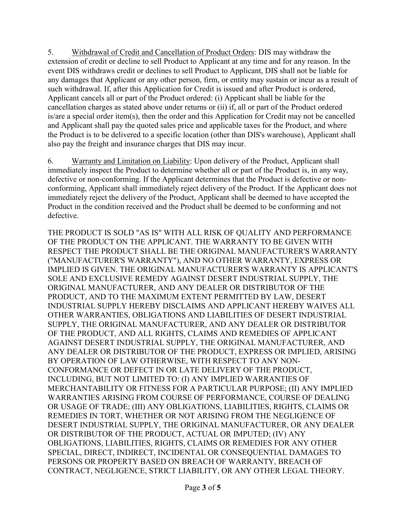5. Withdrawal of Credit and Cancellation of Product Orders: DIS may withdraw the extension of credit or decline to sell Product to Applicant at any time and for any reason. In the event DIS withdraws credit or declines to sell Product to Applicant, DIS shall not be liable for any damages that Applicant or any other person, firm, or entity may sustain or incur as a result of such withdrawal. If, after this Application for Credit is issued and after Product is ordered, Applicant cancels all or part of the Product ordered: (i) Applicant shall be liable for the cancellation charges as stated above under returns or (ii) if, all or part of the Product ordered is/are a special order item(s), then the order and this Application for Credit may not be cancelled and Applicant shall pay the quoted sales price and applicable taxes for the Product, and where the Product is to be delivered to a specific location (other than DIS's warehouse), Applicant shall also pay the freight and insurance charges that DIS may incur.

6. Warranty and Limitation on Liability: Upon delivery of the Product, Applicant shall immediately inspect the Product to determine whether all or part of the Product is, in any way, defective or non-conforming. If the Applicant determines that the Product is defective or nonconforming, Applicant shall immediately reject delivery of the Product. If the Applicant does not immediately reject the delivery of the Product, Applicant shall be deemed to have accepted the Product in the condition received and the Product shall be deemed to be conforming and not defective.

THE PRODUCT IS SOLD "AS IS" WITH ALL RISK OF QUALITY AND PERFORMANCE OF THE PRODUCT ON THE APPLICANT. THE WARRANTY TO BE GIVEN WITH RESPECT THE PRODUCT SHALL BE THE ORIGINAL MANUFACTURER'S WARRANTY ("MANUFACTURER'S WARRANTY"), AND NO OTHER WARRANTY, EXPRESS OR IMPLIED IS GIVEN. THE ORIGINAL MANUFACTURER'S WARRANTY IS APPLICANT'S SOLE AND EXCLUSIVE REMEDY AGAINST DESERT INDUSTRIAL SUPPLY, THE ORIGINAL MANUFACTURER, AND ANY DEALER OR DISTRIBUTOR OF THE PRODUCT, AND TO THE MAXIMUM EXTENT PERMITTED BY LAW, DESERT INDUSTRIAL SUPPLY HEREBY DISCLAIMS AND APPLICANT HEREBY WAIVES ALL OTHER WARRANTIES, OBLIGATIONS AND LIABILITIES OF DESERT INDUSTRIAL SUPPLY, THE ORIGINAL MANUFACTURER, AND ANY DEALER OR DISTRIBUTOR OF THE PRODUCT, AND ALL RIGHTS, CLAIMS AND REMEDIES OF APPLICANT AGAINST DESERT INDUSTRIAL SUPPLY, THE ORIGINAL MANUFACTURER, AND ANY DEALER OR DISTRIBUTOR OF THE PRODUCT, EXPRESS OR IMPLIED, ARISING BY OPERATION OF LAW OTHERWISE, WITH RESPECT TO ANY NON-CONFORMANCE OR DEFECT IN OR LATE DELIVERY OF THE PRODUCT, INCLUDING, BUT NOT LIMITED TO: (I) ANY IMPLIED WARRANTIES OF MERCHANTABILITY OR FITNESS FOR A PARTICULAR PURPOSE; (II) ANY IMPLIED WARRANTIES ARISING FROM COURSE OF PERFORMANCE, COURSE OF DEALING OR USAGE OF TRADE; (III) ANY OBLIGATIONS, LIABILITIES, RIGHTS, CLAIMS OR REMEDIES IN TORT, WHETHER OR NOT ARISING FROM THE NEGLIGENCE OF DESERT INDUSTRIAL SUPPLY, THE ORIGINAL MANUFACTURER, OR ANY DEALER OR DISTRIBUTOR OF THE PRODUCT, ACTUAL OR IMPUTED; (IV) ANY OBLIGATIONS, LIABILITIES, RIGHTS, CLAIMS OR REMEDIES FOR ANY OTHER SPECIAL, DIRECT, INDIRECT, INCIDENTAL OR CONSEQUENTIAL DAMAGES TO PERSONS OR PROPERTY BASED ON BREACH OF WARRANTY, BREACH OF CONTRACT, NEGLIGENCE, STRICT LIABILITY, OR ANY OTHER LEGAL THEORY.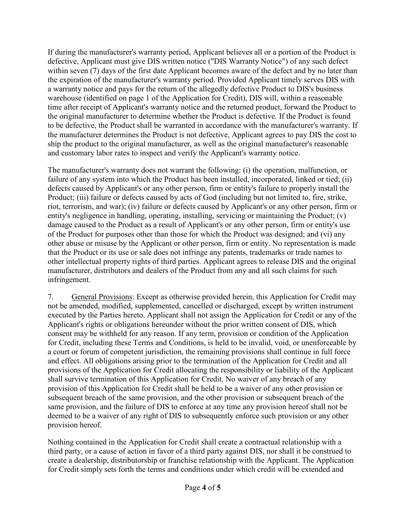If during the manufacturer's warranty period, Applicant believes all or a portion of the Product is defective, Applicant must give DIS written notice ("DIS Warranty Notice") of any such defect within seven (7) days of the first date Applicant becomes aware of the defect and by no later than the expiration of the manufacturer's warranty period. Provided Applicant timely serves DIS with a warranty notice and pays for the return of the allegedly defective Product to DIS's business warehouse (identified on page 1 of the Application for Credit), DIS will, within a reasonable time after receipt of Applicant's warranty notice and the returned product, forward the Product to the original manufacturer to determine whether the Product is defective. If the Product is found to be defective, the Product shall be warranted in accordance with the manufacturer's warranty. If the manufacturer determines the Product is not defective, Applicant agrees to pay DIS the cost to ship the product to the original manufacturer, as well as the original manufacturer's reasonable and customary labor rates to inspect and verify the Applicant's warranty notice.

The manufacturer's warranty does not warrant the following: (i) the operation, malfunction, or failure of any system into which the Product has been installed, incorporated, linked or tied; (ii) defects caused by Applicant's or any other person, firm or entity's failure to properly install the Product; (iii) failure or defects caused by acts of God (including but not limited to, fire, strike, riot, terrorism, and war); (iv) failure or defects caused by Applicant's or any other person, firm or entity's negligence in handling, operating, installing, servicing or maintaining the Product; (v) damage caused to the Product as a result of Applicant's or any other person, firm or entity's use of the Product for purposes other than those for which the Product was designed; and (vi) any other abuse or misuse by the Applicant or other person, firm or entity. No representation is made that the Product or its use or sale does not infringe any patents, trademarks or trade names to other intellectual property rights of third parties. Applicant agrees to release DIS and the original manufacturer, distributors and dealers of the Product from any and all such claims for such infringement.

7. General Provisions: Except as otherwise provided herein, this Application for Credit may not be amended, modified, supplemented, cancelled or discharged, except by written instrument executed by the Parties hereto. Applicant shall not assign the Application for Credit or any of the Applicant's rights or obligations hereunder without the prior written consent of DIS, which consent may be withheld for any reason. If any term, provision or condition of the Application for Credit, including these Terms and Conditions, is held to be invalid, void, or unenforceable by a court or forum of competent jurisdiction, the remaining provisions shall continue in full force and effect. All obligations arising prior to the termination of the Application for Credit and all provisions of the Application for Credit allocating the responsibility or liability of the Applicant shall survive termination of this Application for Credit. No waiver of any breach of any provision of this Application for Credit shall be held to be a waiver of any other provision or subsequent breach of the same provision, and the other provision or subsequent breach of the same provision, and the failure of DIS to enforce at any time any provision hereof shall not be deemed to be a waiver of any right of DIS to subsequently enforce such provision or any other provision hereof.

Nothing contained in the Application for Credit shall create a contractual relationship with a third party, or a cause of action in favor of a third party against DIS, nor shall it be construed to create a dealership, distributorship or franchise relationship with the Applicant. The Application for Credit simply sets forth the terms and conditions under which credit will be extended and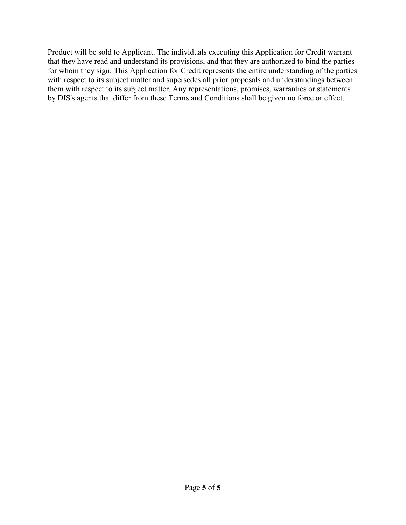Product will be sold to Applicant. The individuals executing this Application for Credit warrant that they have read and understand its provisions, and that they are authorized to bind the parties for whom they sign. This Application for Credit represents the entire understanding of the parties with respect to its subject matter and supersedes all prior proposals and understandings between them with respect to its subject matter. Any representations, promises, warranties or statements by DIS's agents that differ from these Terms and Conditions shall be given no force or effect.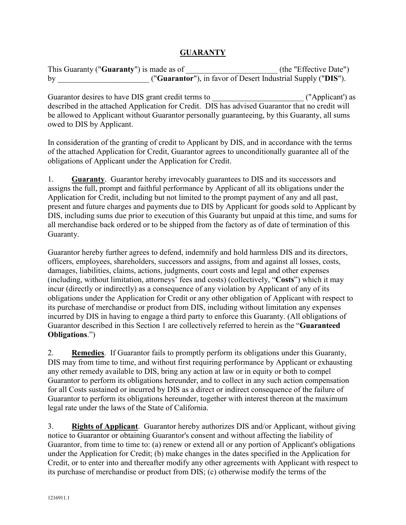#### **GUARANTY**

| This Guaranty (" <b>Guaranty</b> ") is made as of | (the "Effective Date")                                       |
|---------------------------------------------------|--------------------------------------------------------------|
| bv                                                | ("Guarantor"), in favor of Desert Industrial Supply ("DIS"). |

Guarantor desires to have DIS grant credit terms to \_\_\_\_\_\_\_\_\_\_\_\_\_\_\_\_\_\_\_\_\_\_\_ ("Applicant') as described in the attached Application for Credit. DIS has advised Guarantor that no credit will be allowed to Applicant without Guarantor personally guaranteeing, by this Guaranty, all sums owed to DIS by Applicant.

In consideration of the granting of credit to Applicant by DIS, and in accordance with the terms of the attached Application for Credit, Guarantor agrees to unconditionally guarantee all of the obligations of Applicant under the Application for Credit.

1. **Guaranty**. Guarantor hereby irrevocably guarantees to DIS and its successors and assigns the full, prompt and faithful performance by Applicant of all its obligations under the Application for Credit, including but not limited to the prompt payment of any and all past, present and future charges and payments due to DIS by Applicant for goods sold to Applicant by DIS, including sums due prior to execution of this Guaranty but unpaid at this time, and sums for all merchandise back ordered or to be shipped from the factory as of date of termination of this Guaranty.

Guarantor hereby further agrees to defend, indemnify and hold harmless DIS and its directors, officers, employees, shareholders, successors and assigns, from and against all losses, costs, damages, liabilities, claims, actions, judgments, court costs and legal and other expenses (including, without limitation, attorneys' fees and costs) (collectively, "**Costs**") which it may incur (directly or indirectly) as a consequence of any violation by Applicant of any of its obligations under the Application for Credit or any other obligation of Applicant with respect to its purchase of merchandise or product from DIS, including without limitation any expenses incurred by DIS in having to engage a third party to enforce this Guaranty. (All obligations of Guarantor described in this Section 1 are collectively referred to herein as the "**Guaranteed Obligations**.")

2. **Remedies**. If Guarantor fails to promptly perform its obligations under this Guaranty, DIS may from time to time, and without first requiring performance by Applicant or exhausting any other remedy available to DIS, bring any action at law or in equity or both to compel Guarantor to perform its obligations hereunder, and to collect in any such action compensation for all Costs sustained or incurred by DIS as a direct or indirect consequence of the failure of Guarantor to perform its obligations hereunder, together with interest thereon at the maximum legal rate under the laws of the State of California.

3. **Rights of Applicant**. Guarantor hereby authorizes DIS and/or Applicant, without giving notice to Guarantor or obtaining Guarantor's consent and without affecting the liability of Guarantor, from time to time to: (a) renew or extend all or any portion of Applicant's obligations under the Application for Credit; (b) make changes in the dates specified in the Application for Credit, or to enter into and thereafter modify any other agreements with Applicant with respect to its purchase of merchandise or product from DIS; (c) otherwise modify the terms of the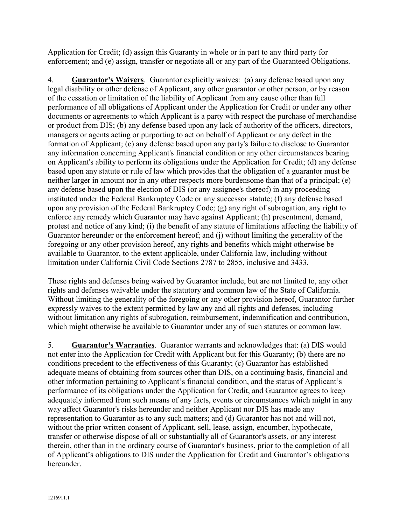Application for Credit; (d) assign this Guaranty in whole or in part to any third party for enforcement; and (e) assign, transfer or negotiate all or any part of the Guaranteed Obligations.

4. **Guarantor's Waivers**. Guarantor explicitly waives: (a) any defense based upon any legal disability or other defense of Applicant, any other guarantor or other person, or by reason of the cessation or limitation of the liability of Applicant from any cause other than full performance of all obligations of Applicant under the Application for Credit or under any other documents or agreements to which Applicant is a party with respect the purchase of merchandise or product from DIS; (b) any defense based upon any lack of authority of the officers, directors, managers or agents acting or purporting to act on behalf of Applicant or any defect in the formation of Applicant; (c) any defense based upon any party's failure to disclose to Guarantor any information concerning Applicant's financial condition or any other circumstances bearing on Applicant's ability to perform its obligations under the Application for Credit; (d) any defense based upon any statute or rule of law which provides that the obligation of a guarantor must be neither larger in amount nor in any other respects more burdensome than that of a principal; (e) any defense based upon the election of DIS (or any assignee's thereof) in any proceeding instituted under the Federal Bankruptcy Code or any successor statute; (f) any defense based upon any provision of the Federal Bankruptcy Code; (g) any right of subrogation, any right to enforce any remedy which Guarantor may have against Applicant; (h) presentment, demand, protest and notice of any kind; (i) the benefit of any statute of limitations affecting the liability of Guarantor hereunder or the enforcement hereof; and (j) without limiting the generality of the foregoing or any other provision hereof, any rights and benefits which might otherwise be available to Guarantor, to the extent applicable, under California law, including without limitation under California Civil Code Sections 2787 to 2855, inclusive and 3433.

These rights and defenses being waived by Guarantor include, but are not limited to, any other rights and defenses waivable under the statutory and common law of the State of California. Without limiting the generality of the foregoing or any other provision hereof, Guarantor further expressly waives to the extent permitted by law any and all rights and defenses, including without limitation any rights of subrogation, reimbursement, indemnification and contribution, which might otherwise be available to Guarantor under any of such statutes or common law.

5. **Guarantor's Warranties**. Guarantor warrants and acknowledges that: (a) DIS would not enter into the Application for Credit with Applicant but for this Guaranty; (b) there are no conditions precedent to the effectiveness of this Guaranty; (c) Guarantor has established adequate means of obtaining from sources other than DIS, on a continuing basis, financial and other information pertaining to Applicant's financial condition, and the status of Applicant's performance of its obligations under the Application for Credit, and Guarantor agrees to keep adequately informed from such means of any facts, events or circumstances which might in any way affect Guarantor's risks hereunder and neither Applicant nor DIS has made any representation to Guarantor as to any such matters; and (d) Guarantor has not and will not, without the prior written consent of Applicant, sell, lease, assign, encumber, hypothecate, transfer or otherwise dispose of all or substantially all of Guarantor's assets, or any interest therein, other than in the ordinary course of Guarantor's business, prior to the completion of all of Applicant's obligations to DIS under the Application for Credit and Guarantor's obligations hereunder.